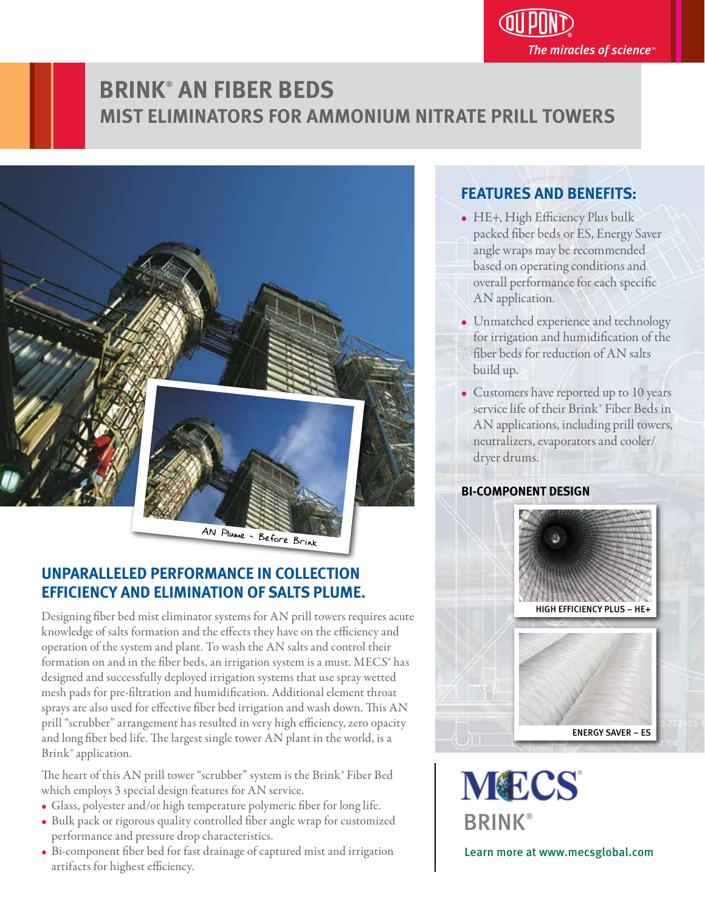# **BRINK**®  **AN FIBER BEDS MIST ELIMINATORS FOR AMMONIUM NITRATE PRILL TOWERS**



## **UNPARALLELED PERFORMANCE IN COLLECTION EFFICIENCY AND ELIMINATION OF SALTS PLUME.**

Designing fiber bed mist eliminator systems for AN prill towers requires acute knowledge of salts formation and the effects they have on the efficiency and operation of the system and plant. To wash the AN salts and control their formation on and in the fiber beds, an irrigation system is a must. MECS<sup>®</sup> has designed and successfully deployed irrigation systems that use spray wetted mesh pads for pre-filtration and humidification. Additional element throat sprays are also used for effective fiber bed irrigation and wash down. This AN prill "scrubber" arrangement has resulted in very high efficiency, zero opacity and long fiber bed life. The largest single tower AN plant in the world, is a Brink® application.

The heart of this AN prill tower "scrubber" system is the Brink® Fiber Bed which employs 3 special design features for AN service.

- Glass, polyester and/or high temperature polymeric fiber for long life.
- Bulk pack or rigorous quality controlled fiber angle wrap for customized performance and pressure drop characteristics.
- Bi-component fiber bed for fast drainage of captured mist and irrigation artifacts for highest efficiency.

### **FEATURES AND BENEFITS:** j

- HE+, High Efficiency Plus bulk packed fiber beds or ES, Energy Saver angle wraps may be recommended based on operating conditions and overall performance for each specific AN application.
- Unmatched experience and technology for irrigation and humidification of the ber beds for reduction of AN salts build up.
- Customers have reported up to 10 years service life of their Brink® Fiber Beds in AN applications, including prill towers, neutralizers, evaporators and cooler/ dryer drums.

### **BI-COMPONENT DESIGN**



**MECS BRINK®** 

Learn more at www.mecsglobal.com